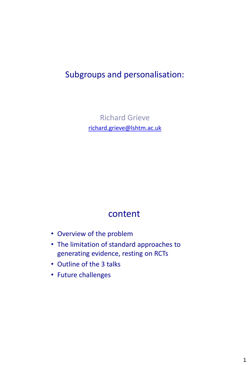# Subgroups and personalisation:

Richard Grieve [richard.grieve@lshtm.ac.uk](mailto:richard.grieve@lshtm.ac.uk)

## content

- Overview of the problem
- The limitation of standard approaches to generating evidence, resting on RCTs
- Outline of the 3 talks
- Future challenges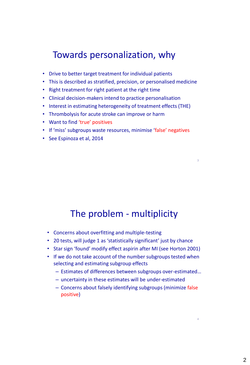# Towards personalization, why

- Drive to better target treatment for individual patients
- This is described as stratified, precision, or personalised medicine
- Right treatment for right patient at the right time
- Clinical decision-makers intend to practice personalisation
- Interest in estimating heterogeneity of treatment effects (THE)
- Thrombolysis for acute stroke can improve or harm
- Want to find 'true' positives
- If 'miss' subgroups waste resources, minimise 'false' negatives
- See Espinoza et al, 2014

# The problem - multiplicity

3

4

- Concerns about overfitting and multiple-testing
- 20 tests, will judge 1 as 'statistically significant' just by chance
- Star sign 'found' modify effect aspirin after MI (see Horton 2001)
- If we do not take account of the number subgroups tested when selecting and estimating subgroup effects
	- Estimates of differences between subgroups over-estimated…
	- uncertainty in these estimates will be under-estimated
	- Concerns about falsely identifying subgroups (minimize false positive)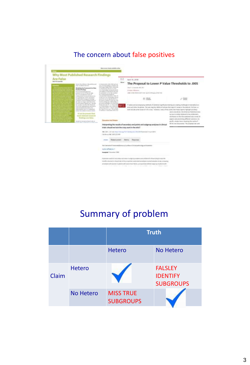### The concern about false positives



# Summary of problem

|       |                  | <b>Truth</b>                         |                                                       |
|-------|------------------|--------------------------------------|-------------------------------------------------------|
|       |                  | <b>Hetero</b>                        | <b>No Hetero</b>                                      |
| Claim | <b>Hetero</b>    |                                      | <b>FALSLEY</b><br><b>IDENTIFY</b><br><b>SUBGROUPS</b> |
|       | <b>No Hetero</b> | <b>MISS TRUE</b><br><b>SUBGROUPS</b> |                                                       |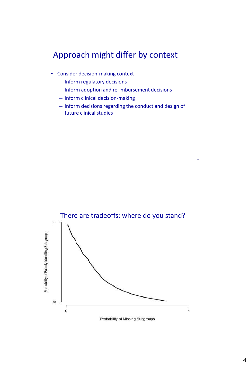### Approach might differ by context

- Consider decision-making context
	- Inform regulatory decisions
	- Inform adoption and re-imbursement decisions
	- Inform clinical decision-making
	- Inform decisions regarding the conduct and design of future clinical studies

7

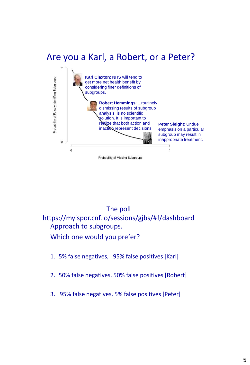# Are you a Karl, a Robert, or a Peter?



### The poll

https://myispor.cnf.io/sessions/gjbs/#!/dashboard Approach to subgroups.

Which one would you prefer?

- 1. 5% false negatives, 95% false positives [Karl]
- 2. 50% false negatives, 50% false positives [Robert]
- 3. 95% false negatives, 5% false positives [Peter]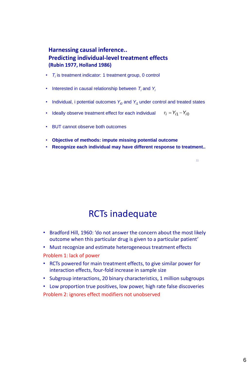#### **Harnessing causal inference.. Predicting individual-level treatment effects (Rubin 1977, Holland 1986)**

- *T<sup>i</sup>* is treatment indicator: 1 treatment group, 0 control
- Interested in causal relationship between  $T_i$  and  $Y_i$
- Individual, i potential outcomes  $Y_{i0}$  and  $Y_{i1}$  under control and treated states
- Ideally observe treatment effect for each individual  $\tau_i = Y_{i1} Y_{i0}$
- BUT cannot observe both outcomes
- **Objective of methods: impute missing potential outcome**
- **Recognize each individual may have different response to treatment..**

11

## RCTs inadequate

- Bradford Hill, 1960: 'do not answer the concern about the most likely outcome when this particular drug is given to a particular patient'
- Must recognize and estimate heterogeneous treatment effects Problem 1: lack of power
- RCTs powered for main treatment effects, to give similar power for interaction effects, four-fold increase in sample size
- Subgroup interactions, 20 binary characteristics, 1 million subgroups
- Low proportion true positives, low power, high rate false discoveries Problem 2: ignores effect modifiers not unobserved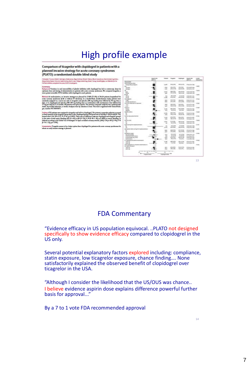# High profile example

Comparison of ticagrelor with clopidogrel in patients with a planned invasive strategy for acute coronary syndromes (PLATO): a randomised double-blind study

, Robert A Hamington, Stepan r C. Heatur, Filâlam Evropa actorer, Sloven Filoslavi, Filosop Koliv<br>13. Andret F. Storey, Cambil Wojdyka, Lura Wallenblin for the

Methods At rande tratagy was pla<br>sut ST elevation ed for 13408 (72-0%) of 1862 m). In x i assigned in a one-to-one to<br>clopidogred and placeho (3<br>day) for 6–12 months. All p

ps . In<br>the primary of Particular were assigned to transport and 60% to chepide<br>great, The primary coupling the control of the control of the primary control and<br>a fit is 34, 65% Cl 0 75–0 54 p. 0025). These was as differ

interpretation Ticagrake assess to be a batt<br>where an early invarive strategy is planned



13

#### FDA Commentary

"Evidence efficacy in US population equivocal. ..PLATO not designed specifically to show evidence efficacy compared to clopidogrel in the US only.

Several potential explanatory factors explored including: compliance, statin exposure, low ticagrelor exposure, chance finding…. None satisfactorily explained the observed benefit of clopidogrel over ticagrelor in the USA.

"Although I consider the likelihood that the US/OUS was chance.. I believe evidence aspirin dose explains difference powerful further basis for approval..."

By a 7 to 1 vote FDA recommended approval

14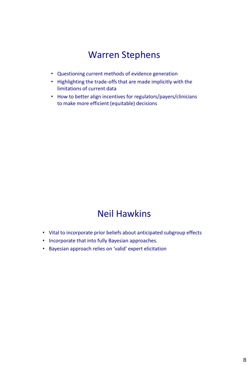# Warren Stephens

- Questioning current methods of evidence generation
- Highlighting the trade-offs that are made implicitly with the limitations of current data
- How to better align incentives for regulators/payers/clinicians to make more efficient (equitable) decisions

# Neil Hawkins

- Vital to incorporate prior beliefs about anticipated subgroup effects
- Incorporate that into fully Bayesian approaches.
- Bayesian approach relies on 'valid' expert elicitation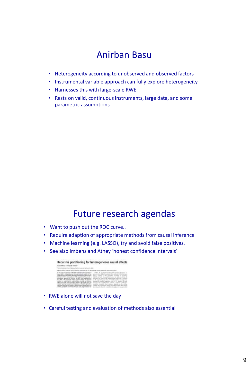# Anirban Basu

- Heterogeneity according to unobserved and observed factors
- Instrumental variable approach can fully explore heterogeneity
- Harnesses this with large-scale RWE
- Rests on valid, continuous instruments, large data, and some parametric assumptions

# Future research agendas

- Want to push out the ROC curve..
- Require adaption of appropriate methods from causal inference
- Machine learning (e.g. LASSO), try and avoid false positives.
- See also Imbens and Athey 'honest confidence intervals'

| Recursive partitioning for heterogeneous causal effects                                      |
|----------------------------------------------------------------------------------------------|
|                                                                                              |
|                                                                                              |
|                                                                                              |
| presentatif as anything a con-<br>make asked that his associational condition of this point. |

- RWE alone will not save the day
- Careful testing and evaluation of methods also essential